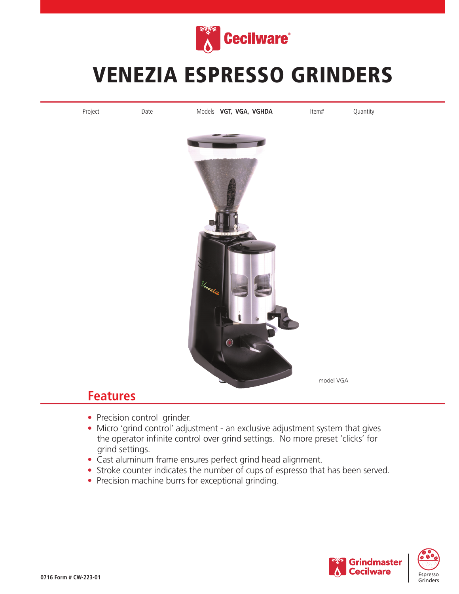

## VENEZIA ESPRESSO GRINDERS



## **Features**

- Precision control grinder.
- Micro 'grind control' adjustment an exclusive adjustment system that gives the operator infinite control over grind settings. No more preset 'clicks' for grind settings.
- Cast aluminum frame ensures perfect grind head alignment.
- Stroke counter indicates the number of cups of espresso that has been served.
- Precision machine burrs for exceptional grinding.